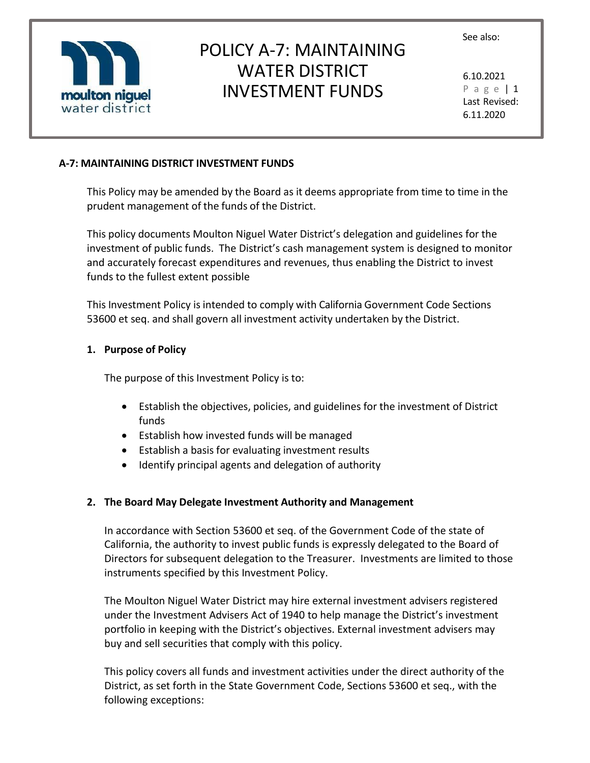

# POLICY A-7: MAINTAINING WATER DISTRICT INVESTMENT FUNDS

6.10.2021 P a g e | 1 Last Revised: 6.11.2020

### **A-7: MAINTAINING DISTRICT INVESTMENT FUNDS**

This Policy may be amended by the Board as it deems appropriate from time to time in the prudent management of the funds of the District.

This policy documents Moulton Niguel Water District's delegation and guidelines for the investment of public funds. The District's cash management system is designed to monitor and accurately forecast expenditures and revenues, thus enabling the District to invest funds to the fullest extent possible

This Investment Policy is intended to comply with California Government Code Sections 53600 et seq. and shall govern all investment activity undertaken by the District.

#### **1. Purpose of Policy**

The purpose of this Investment Policy is to:

- Establish the objectives, policies, and guidelines for the investment of District funds
- Establish how invested funds will be managed
- Establish a basis for evaluating investment results
- Identify principal agents and delegation of authority

#### **2. The Board May Delegate Investment Authority and Management**

In accordance with Section 53600 et seq. of the Government Code of the state of California, the authority to invest public funds is expressly delegated to the Board of Directors for subsequent delegation to the Treasurer. Investments are limited to those instruments specified by this Investment Policy.

The Moulton Niguel Water District may hire external investment advisers registered under the Investment Advisers Act of 1940 to help manage the District's investment portfolio in keeping with the District's objectives. External investment advisers may buy and sell securities that comply with this policy.

This policy covers all funds and investment activities under the direct authority of the District, as set forth in the State Government Code, Sections 53600 et seq., with the following exceptions: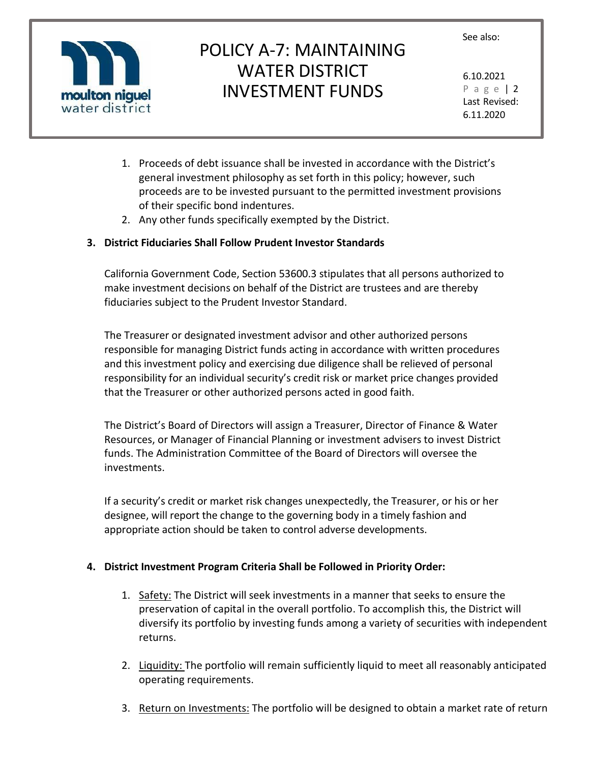

# POLICY A-7: MAINTAINING WATER DISTRICT INVESTMENT FUNDS

6.10.2021 P a g e | 2 Last Revised: 6.11.2020

- 1. Proceeds of debt issuance shall be invested in accordance with the District's general investment philosophy as set forth in this policy; however, such proceeds are to be invested pursuant to the permitted investment provisions of their specific bond indentures.
- 2. Any other funds specifically exempted by the District.

### **3. District Fiduciaries Shall Follow Prudent Investor Standards**

California Government Code, Section 53600.3 stipulates that all persons authorized to make investment decisions on behalf of the District are trustees and are thereby fiduciaries subject to the Prudent Investor Standard.

The Treasurer or designated investment advisor and other authorized persons responsible for managing District funds acting in accordance with written procedures and this investment policy and exercising due diligence shall be relieved of personal responsibility for an individual security's credit risk or market price changes provided that the Treasurer or other authorized persons acted in good faith.

The District's Board of Directors will assign a Treasurer, Director of Finance & Water Resources, or Manager of Financial Planning or investment advisers to invest District funds. The Administration Committee of the Board of Directors will oversee the investments.

If a security's credit or market risk changes unexpectedly, the Treasurer, or his or her designee, will report the change to the governing body in a timely fashion and appropriate action should be taken to control adverse developments.

### **4. District Investment Program Criteria Shall be Followed in Priority Order:**

- 1. Safety: The District will seek investments in a manner that seeks to ensure the preservation of capital in the overall portfolio. To accomplish this, the District will diversify its portfolio by investing funds among a variety of securities with independent returns.
- 2. Liquidity: The portfolio will remain sufficiently liquid to meet all reasonably anticipated operating requirements.
- 3. Return on Investments: The portfolio will be designed to obtain a market rate of return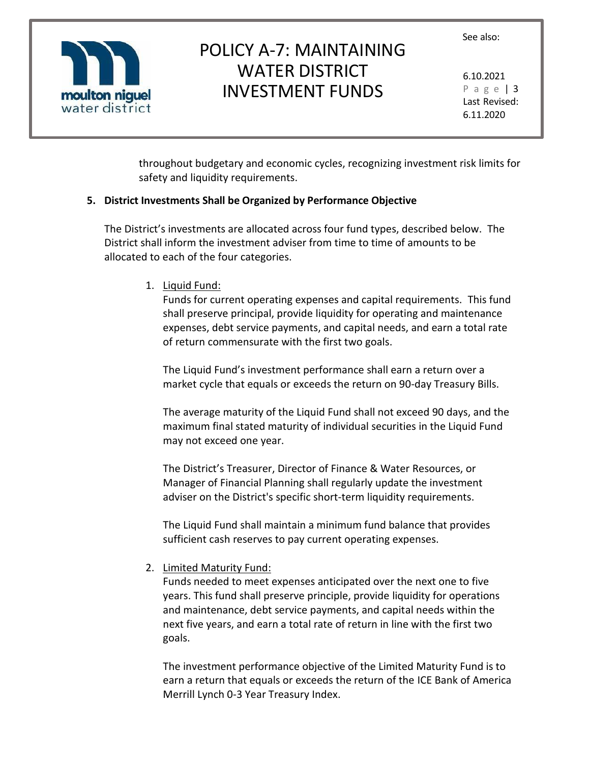

# POLICY A-7: MAINTAINING WATER DISTRICT INVESTMENT FUNDS

6.10.2021 P a g e | 3 Last Revised: 6.11.2020

throughout budgetary and economic cycles, recognizing investment risk limits for safety and liquidity requirements.

### **5. District Investments Shall be Organized by Performance Objective**

The District's investments are allocated across four fund types, described below. The District shall inform the investment adviser from time to time of amounts to be allocated to each of the four categories.

1. Liquid Fund:

Funds for current operating expenses and capital requirements. This fund shall preserve principal, provide liquidity for operating and maintenance expenses, debt service payments, and capital needs, and earn a total rate of return commensurate with the first two goals.

The Liquid Fund's investment performance shall earn a return over a market cycle that equals or exceeds the return on 90-day Treasury Bills.

The average maturity of the Liquid Fund shall not exceed 90 days, and the maximum final stated maturity of individual securities in the Liquid Fund may not exceed one year.

The District's Treasurer, Director of Finance & Water Resources, or Manager of Financial Planning shall regularly update the investment adviser on the District's specific short-term liquidity requirements.

The Liquid Fund shall maintain a minimum fund balance that provides sufficient cash reserves to pay current operating expenses.

2. Limited Maturity Fund:

Funds needed to meet expenses anticipated over the next one to five years. This fund shall preserve principle, provide liquidity for operations and maintenance, debt service payments, and capital needs within the next five years, and earn a total rate of return in line with the first two goals.

The investment performance objective of the Limited Maturity Fund is to earn a return that equals or exceeds the return of the ICE Bank of America Merrill Lynch 0-3 Year Treasury Index.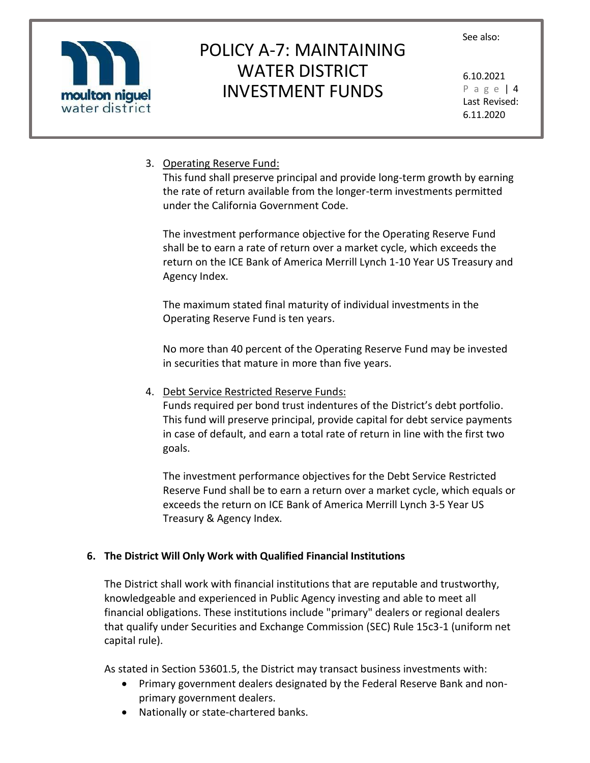

# POLICY A-7: MAINTAINING WATER DISTRICT INVESTMENT FUNDS

6.10.2021 P a g e | 4 Last Revised: 6.11.2020

### 3. Operating Reserve Fund:

This fund shall preserve principal and provide long-term growth by earning the rate of return available from the longer-term investments permitted under the California Government Code.

The investment performance objective for the Operating Reserve Fund shall be to earn a rate of return over a market cycle, which exceeds the return on the ICE Bank of America Merrill Lynch 1-10 Year US Treasury and Agency Index.

The maximum stated final maturity of individual investments in the Operating Reserve Fund is ten years.

No more than 40 percent of the Operating Reserve Fund may be invested in securities that mature in more than five years.

4. Debt Service Restricted Reserve Funds:

Funds required per bond trust indentures of the District's debt portfolio. This fund will preserve principal, provide capital for debt service payments in case of default, and earn a total rate of return in line with the first two goals.

The investment performance objectives for the Debt Service Restricted Reserve Fund shall be to earn a return over a market cycle, which equals or exceeds the return on ICE Bank of America Merrill Lynch 3-5 Year US Treasury & Agency Index.

## **6. The District Will Only Work with Qualified Financial Institutions**

The District shall work with financial institutions that are reputable and trustworthy, knowledgeable and experienced in Public Agency investing and able to meet all financial obligations. These institutions include "primary" dealers or regional dealers that qualify under Securities and Exchange Commission (SEC) Rule 15c3-1 (uniform net capital rule).

As stated in Section 53601.5, the District may transact business investments with:

- Primary government dealers designated by the Federal Reserve Bank and nonprimary government dealers.
- Nationally or state-chartered banks.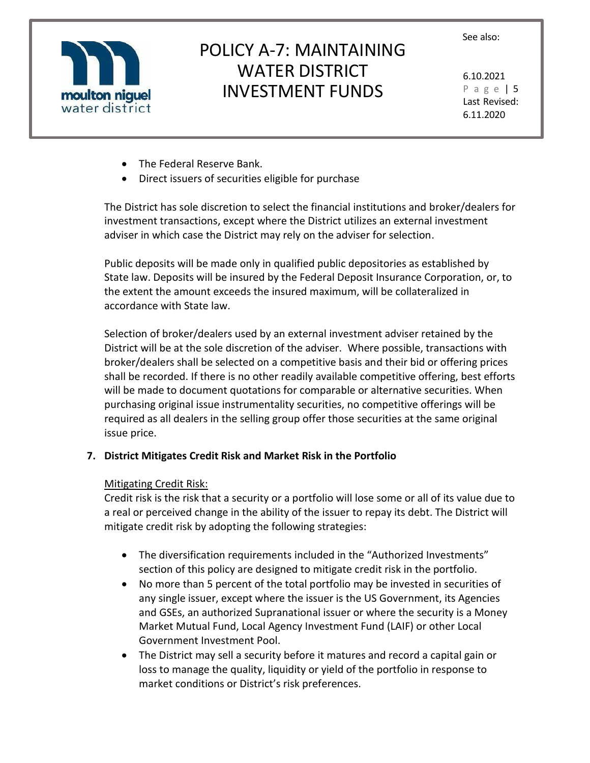

# POLICY A-7: MAINTAINING WATER DISTRICT INVESTMENT FUNDS

6.10.2021 P a g e | 5 Last Revised: 6.11.2020

- The Federal Reserve Bank.
- Direct issuers of securities eligible for purchase

The District has sole discretion to select the financial institutions and broker/dealers for investment transactions, except where the District utilizes an external investment adviser in which case the District may rely on the adviser for selection.

Public deposits will be made only in qualified public depositories as established by State law. Deposits will be insured by the Federal Deposit Insurance Corporation, or, to the extent the amount exceeds the insured maximum, will be collateralized in accordance with State law.

Selection of broker/dealers used by an external investment adviser retained by the District will be at the sole discretion of the adviser. Where possible, transactions with broker/dealers shall be selected on a competitive basis and their bid or offering prices shall be recorded. If there is no other readily available competitive offering, best efforts will be made to document quotations for comparable or alternative securities. When purchasing original issue instrumentality securities, no competitive offerings will be required as all dealers in the selling group offer those securities at the same original issue price.

### **7. District Mitigates Credit Risk and Market Risk in the Portfolio**

#### Mitigating Credit Risk:

Credit risk is the risk that a security or a portfolio will lose some or all of its value due to a real or perceived change in the ability of the issuer to repay its debt. The District will mitigate credit risk by adopting the following strategies:

- The diversification requirements included in the "Authorized Investments" section of this policy are designed to mitigate credit risk in the portfolio.
- No more than 5 percent of the total portfolio may be invested in securities of any single issuer, except where the issuer is the US Government, its Agencies and GSEs, an authorized Supranational issuer or where the security is a Money Market Mutual Fund, Local Agency Investment Fund (LAIF) or other Local Government Investment Pool.
- The District may sell a security before it matures and record a capital gain or loss to manage the quality, liquidity or yield of the portfolio in response to market conditions or District's risk preferences.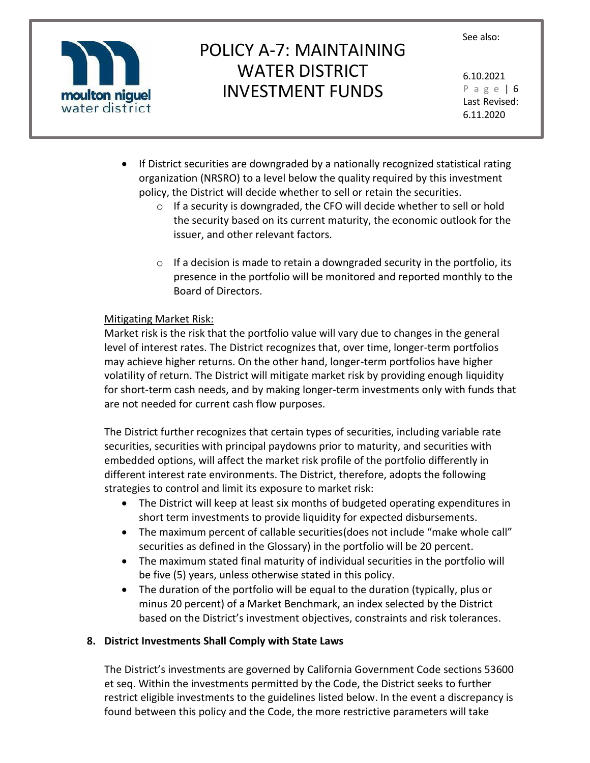

# POLICY A-7: MAINTAINING WATER DISTRICT INVESTMENT FUNDS

6.10.2021 P a g e | 6 Last Revised: 6.11.2020

- If District securities are downgraded by a nationally recognized statistical rating organization (NRSRO) to a level below the quality required by this investment policy, the District will decide whether to sell or retain the securities.
	- o If a security is downgraded, the CFO will decide whether to sell or hold the security based on its current maturity, the economic outlook for the issuer, and other relevant factors.
	- $\circ$  If a decision is made to retain a downgraded security in the portfolio, its presence in the portfolio will be monitored and reported monthly to the Board of Directors.

### Mitigating Market Risk:

Market risk is the risk that the portfolio value will vary due to changes in the general level of interest rates. The District recognizes that, over time, longer-term portfolios may achieve higher returns. On the other hand, longer-term portfolios have higher volatility of return. The District will mitigate market risk by providing enough liquidity for short-term cash needs, and by making longer-term investments only with funds that are not needed for current cash flow purposes.

The District further recognizes that certain types of securities, including variable rate securities, securities with principal paydowns prior to maturity, and securities with embedded options, will affect the market risk profile of the portfolio differently in different interest rate environments. The District, therefore, adopts the following strategies to control and limit its exposure to market risk:

- The District will keep at least six months of budgeted operating expenditures in short term investments to provide liquidity for expected disbursements.
- The maximum percent of callable securities (does not include "make whole call" securities as defined in the Glossary) in the portfolio will be 20 percent.
- The maximum stated final maturity of individual securities in the portfolio will be five (5) years, unless otherwise stated in this policy.
- The duration of the portfolio will be equal to the duration (typically, plus or minus 20 percent) of a Market Benchmark, an index selected by the District based on the District's investment objectives, constraints and risk tolerances.

## **8. District Investments Shall Comply with State Laws**

The District's investments are governed by California Government Code sections 53600 et seq. Within the investments permitted by the Code, the District seeks to further restrict eligible investments to the guidelines listed below. In the event a discrepancy is found between this policy and the Code, the more restrictive parameters will take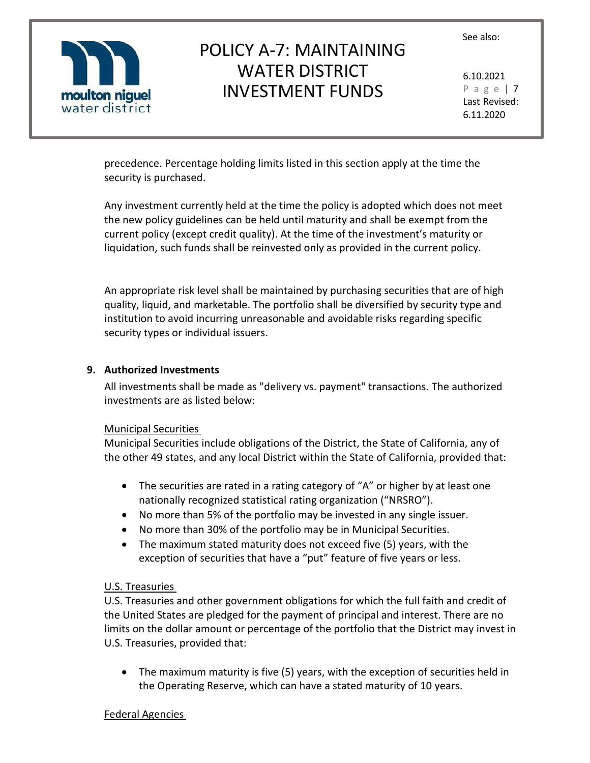

# POLICY A-7: MAINTAINING WATER DISTRICT INVESTMENT FUNDS

6.10.2021 P a g e | 7 Last Revised: 6.11.2020

precedence. Percentage holding limits listed in this section apply at the time the security is purchased.

Any investment currently held at the time the policy is adopted which does not meet the new policy guidelines can be held until maturity and shall be exempt from the current policy (except credit quality). At the time of the investment's maturity or liquidation, such funds shall be reinvested only as provided in the current policy.

An appropriate risk level shall be maintained by purchasing securities that are of high quality, liquid, and marketable. The portfolio shall be diversified by security type and institution to avoid incurring unreasonable and avoidable risks regarding specific security types or individual issuers.

#### **9. Authorized Investments**

All investments shall be made as "delivery vs. payment" transactions. The authorized investments are as listed below:

#### Municipal Securities

Municipal Securities include obligations of the District, the State of California, any of the other 49 states, and any local District within the State of California, provided that:

- The securities are rated in a rating category of "A" or higher by at least one nationally recognized statistical rating organization ("NRSRO").
- No more than 5% of the portfolio may be invested in any single issuer.
- No more than 30% of the portfolio may be in Municipal Securities.
- The maximum stated maturity does not exceed five (5) years, with the exception of securities that have a "put" feature of five years or less.

### U.S. Treasuries

U.S. Treasuries and other government obligations for which the full faith and credit of the United States are pledged for the payment of principal and interest. There are no limits on the dollar amount or percentage of the portfolio that the District may invest in U.S. Treasuries, provided that:

• The maximum maturity is five (5) years, with the exception of securities held in the Operating Reserve, which can have a stated maturity of 10 years.

### Federal Agencies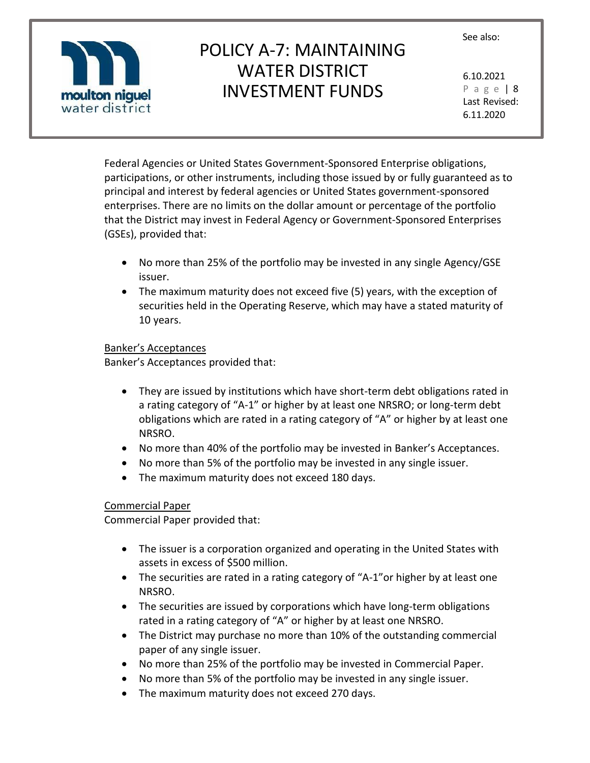

# POLICY A-7: MAINTAINING WATER DISTRICT INVESTMENT FUNDS

6.10.2021 P a g e | 8 Last Revised: 6.11.2020

Federal Agencies or United States Government-Sponsored Enterprise obligations, participations, or other instruments, including those issued by or fully guaranteed as to principal and interest by federal agencies or United States government-sponsored enterprises. There are no limits on the dollar amount or percentage of the portfolio that the District may invest in Federal Agency or Government-Sponsored Enterprises (GSEs), provided that:

- No more than 25% of the portfolio may be invested in any single Agency/GSE issuer.
- The maximum maturity does not exceed five (5) years, with the exception of securities held in the Operating Reserve, which may have a stated maturity of 10 years.

#### Banker's Acceptances

Banker's Acceptances provided that:

- They are issued by institutions which have short-term debt obligations rated in a rating category of "A-1" or higher by at least one NRSRO; or long-term debt obligations which are rated in a rating category of "A" or higher by at least one NRSRO.
- No more than 40% of the portfolio may be invested in Banker's Acceptances.
- No more than 5% of the portfolio may be invested in any single issuer.
- The maximum maturity does not exceed 180 days.

### Commercial Paper

Commercial Paper provided that:

- The issuer is a corporation organized and operating in the United States with assets in excess of \$500 million.
- The securities are rated in a rating category of "A-1"or higher by at least one NRSRO.
- The securities are issued by corporations which have long-term obligations rated in a rating category of "A" or higher by at least one NRSRO.
- The District may purchase no more than 10% of the outstanding commercial paper of any single issuer.
- No more than 25% of the portfolio may be invested in Commercial Paper.
- No more than 5% of the portfolio may be invested in any single issuer.
- The maximum maturity does not exceed 270 days.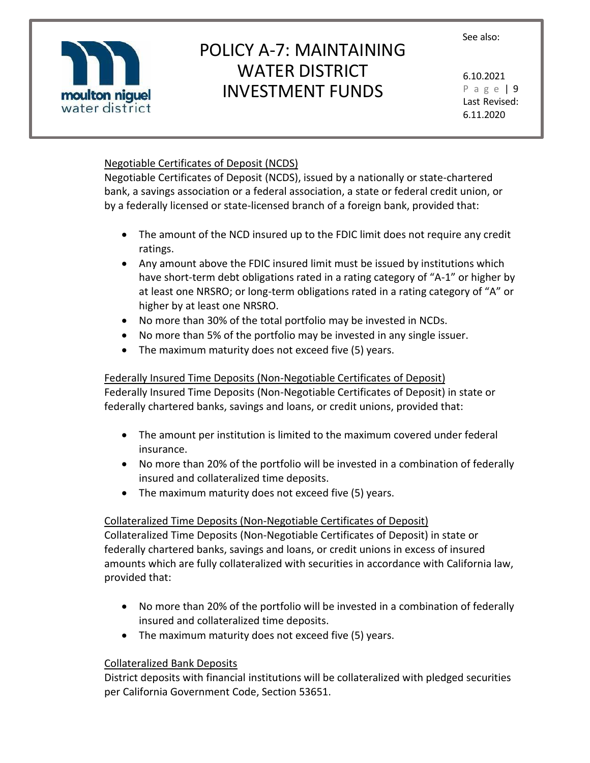

# POLICY A-7: MAINTAINING WATER DISTRICT INVESTMENT FUNDS

6.10.2021 P a g e | 9 Last Revised: 6.11.2020

### Negotiable Certificates of Deposit (NCDS)

Negotiable Certificates of Deposit (NCDS), issued by a nationally or state-chartered bank, a savings association or a federal association, a state or federal credit union, or by a federally licensed or state-licensed branch of a foreign bank, provided that:

- The amount of the NCD insured up to the FDIC limit does not require any credit ratings.
- Any amount above the FDIC insured limit must be issued by institutions which have short-term debt obligations rated in a rating category of "A-1" or higher by at least one NRSRO; or long-term obligations rated in a rating category of "A" or higher by at least one NRSRO.
- No more than 30% of the total portfolio may be invested in NCDs.
- No more than 5% of the portfolio may be invested in any single issuer.
- The maximum maturity does not exceed five (5) years.

### Federally Insured Time Deposits (Non-Negotiable Certificates of Deposit)

Federally Insured Time Deposits (Non-Negotiable Certificates of Deposit) in state or federally chartered banks, savings and loans, or credit unions, provided that:

- The amount per institution is limited to the maximum covered under federal insurance.
- No more than 20% of the portfolio will be invested in a combination of federally insured and collateralized time deposits.
- The maximum maturity does not exceed five (5) years.

### Collateralized Time Deposits (Non-Negotiable Certificates of Deposit)

Collateralized Time Deposits (Non-Negotiable Certificates of Deposit) in state or federally chartered banks, savings and loans, or credit unions in excess of insured amounts which are fully collateralized with securities in accordance with California law, provided that:

- No more than 20% of the portfolio will be invested in a combination of federally insured and collateralized time deposits.
- The maximum maturity does not exceed five (5) years.

### Collateralized Bank Deposits

District deposits with financial institutions will be collateralized with pledged securities per California Government Code, Section 53651.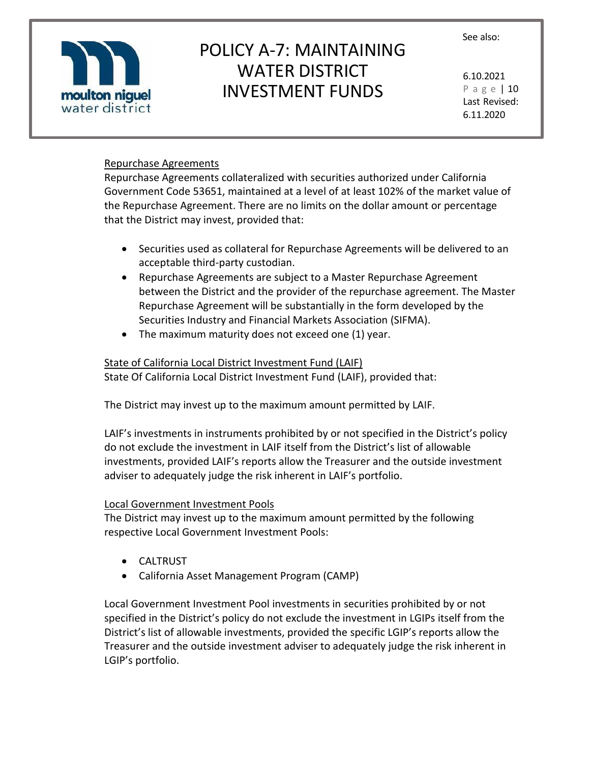

# POLICY A-7: MAINTAINING WATER DISTRICT INVESTMENT FUNDS

6.10.2021 P a g e | 10 Last Revised: 6.11.2020

### Repurchase Agreements

Repurchase Agreements collateralized with securities authorized under California Government Code 53651, maintained at a level of at least 102% of the market value of the Repurchase Agreement. There are no limits on the dollar amount or percentage that the District may invest, provided that:

- Securities used as collateral for Repurchase Agreements will be delivered to an acceptable third-party custodian.
- Repurchase Agreements are subject to a Master Repurchase Agreement between the District and the provider of the repurchase agreement. The Master Repurchase Agreement will be substantially in the form developed by the Securities Industry and Financial Markets Association (SIFMA).
- The maximum maturity does not exceed one (1) year.

#### State of California Local District Investment Fund (LAIF)

State Of California Local District Investment Fund (LAIF), provided that:

The District may invest up to the maximum amount permitted by LAIF.

LAIF's investments in instruments prohibited by or not specified in the District's policy do not exclude the investment in LAIF itself from the District's list of allowable investments, provided LAIF's reports allow the Treasurer and the outside investment adviser to adequately judge the risk inherent in LAIF's portfolio.

#### Local Government Investment Pools

The District may invest up to the maximum amount permitted by the following respective Local Government Investment Pools:

- CALTRUST
- California Asset Management Program (CAMP)

Local Government Investment Pool investments in securities prohibited by or not specified in the District's policy do not exclude the investment in LGIPs itself from the District's list of allowable investments, provided the specific LGIP's reports allow the Treasurer and the outside investment adviser to adequately judge the risk inherent in LGIP's portfolio.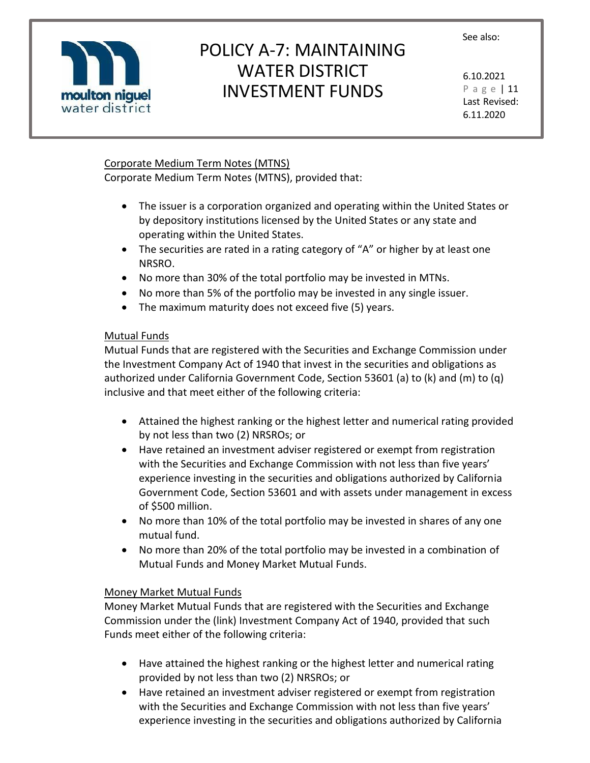

# POLICY A-7: MAINTAINING WATER DISTRICT INVESTMENT FUNDS

6.10.2021 P a g e | 11 Last Revised: 6.11.2020

### Corporate Medium Term Notes (MTNS)

Corporate Medium Term Notes (MTNS), provided that:

- The issuer is a corporation organized and operating within the United States or by depository institutions licensed by the United States or any state and operating within the United States.
- The securities are rated in a rating category of "A" or higher by at least one NRSRO.
- No more than 30% of the total portfolio may be invested in MTNs.
- No more than 5% of the portfolio may be invested in any single issuer.
- The maximum maturity does not exceed five (5) years.

## Mutual Funds

Mutual Funds that are registered with the Securities and Exchange Commission under the Investment Company Act of 1940 that invest in the securities and obligations as authorized under California Government Code, Section 53601 (a) to (k) and (m) to (q) inclusive and that meet either of the following criteria:

- Attained the highest ranking or the highest letter and numerical rating provided by not less than two (2) NRSROs; or
- Have retained an investment adviser registered or exempt from registration with the Securities and Exchange Commission with not less than five years' experience investing in the securities and obligations authorized by California Government Code, Section 53601 and with assets under management in excess of \$500 million.
- No more than 10% of the total portfolio may be invested in shares of any one mutual fund.
- No more than 20% of the total portfolio may be invested in a combination of Mutual Funds and Money Market Mutual Funds.

## Money Market Mutual Funds

Money Market Mutual Funds that are registered with the Securities and Exchange Commission under the (link) Investment Company Act of 1940, provided that such Funds meet either of the following criteria:

- Have attained the highest ranking or the highest letter and numerical rating provided by not less than two (2) NRSROs; or
- Have retained an investment adviser registered or exempt from registration with the Securities and Exchange Commission with not less than five years' experience investing in the securities and obligations authorized by California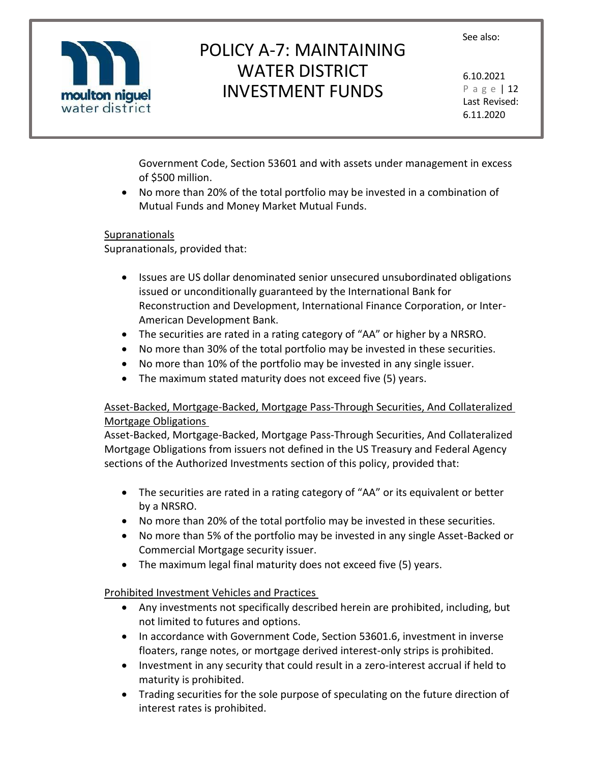

# POLICY A-7: MAINTAINING WATER DISTRICT INVESTMENT FUNDS

6.10.2021 P a g e | 12 Last Revised: 6.11.2020

Government Code, Section 53601 and with assets under management in excess of \$500 million.

• No more than 20% of the total portfolio may be invested in a combination of Mutual Funds and Money Market Mutual Funds.

### Supranationals

Supranationals, provided that:

- Issues are US dollar denominated senior unsecured unsubordinated obligations issued or unconditionally guaranteed by the International Bank for Reconstruction and Development, International Finance Corporation, or Inter-American Development Bank.
- The securities are rated in a rating category of "AA" or higher by a NRSRO.
- No more than 30% of the total portfolio may be invested in these securities.
- No more than 10% of the portfolio may be invested in any single issuer.
- The maximum stated maturity does not exceed five (5) years.

### Asset-Backed, Mortgage-Backed, Mortgage Pass-Through Securities, And Collateralized Mortgage Obligations

Asset-Backed, Mortgage-Backed, Mortgage Pass-Through Securities, And Collateralized Mortgage Obligations from issuers not defined in the US Treasury and Federal Agency sections of the Authorized Investments section of this policy, provided that:

- The securities are rated in a rating category of "AA" or its equivalent or better by a NRSRO.
- No more than 20% of the total portfolio may be invested in these securities.
- No more than 5% of the portfolio may be invested in any single Asset-Backed or Commercial Mortgage security issuer.
- The maximum legal final maturity does not exceed five (5) years.

### Prohibited Investment Vehicles and Practices

- Any investments not specifically described herein are prohibited, including, but not limited to futures and options.
- In accordance with Government Code, Section 53601.6, investment in inverse floaters, range notes, or mortgage derived interest-only strips is prohibited.
- Investment in any security that could result in a zero-interest accrual if held to maturity is prohibited.
- Trading securities for the sole purpose of speculating on the future direction of interest rates is prohibited.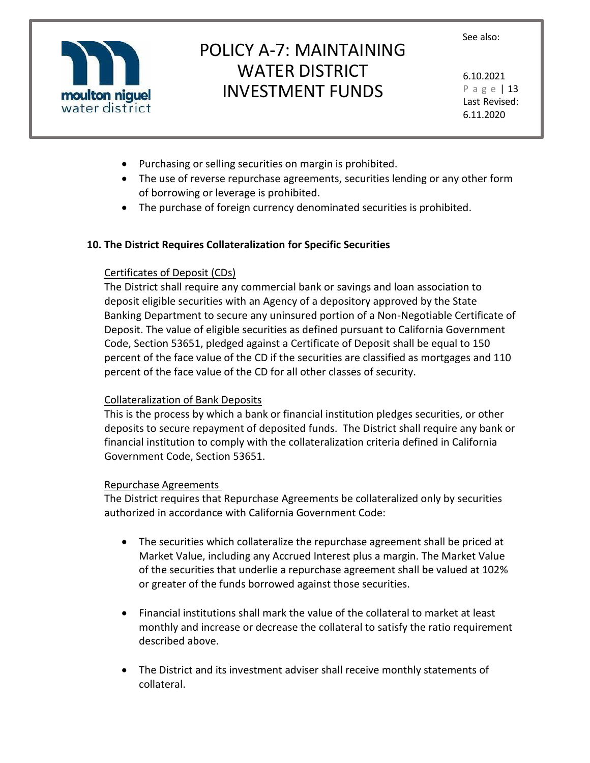

# POLICY A-7: MAINTAINING WATER DISTRICT INVESTMENT FUNDS

6.10.2021 P a g e | 13 Last Revised: 6.11.2020

- Purchasing or selling securities on margin is prohibited.
- The use of reverse repurchase agreements, securities lending or any other form of borrowing or leverage is prohibited.
- The purchase of foreign currency denominated securities is prohibited.

#### **10. The District Requires Collateralization for Specific Securities**

#### Certificates of Deposit (CDs)

The District shall require any commercial bank or savings and loan association to deposit eligible securities with an Agency of a depository approved by the State Banking Department to secure any uninsured portion of a Non-Negotiable Certificate of Deposit. The value of eligible securities as defined pursuant to California Government Code, Section 53651, pledged against a Certificate of Deposit shall be equal to 150 percent of the face value of the CD if the securities are classified as mortgages and 110 percent of the face value of the CD for all other classes of security.

### Collateralization of Bank Deposits

This is the process by which a bank or financial institution pledges securities, or other deposits to secure repayment of deposited funds. The District shall require any bank or financial institution to comply with the collateralization criteria defined in California Government Code, Section 53651.

#### Repurchase Agreements

The District requires that Repurchase Agreements be collateralized only by securities authorized in accordance with California Government Code:

- The securities which collateralize the repurchase agreement shall be priced at Market Value, including any Accrued Interest plus a margin. The Market Value of the securities that underlie a repurchase agreement shall be valued at 102% or greater of the funds borrowed against those securities.
- Financial institutions shall mark the value of the collateral to market at least monthly and increase or decrease the collateral to satisfy the ratio requirement described above.
- The District and its investment adviser shall receive monthly statements of collateral.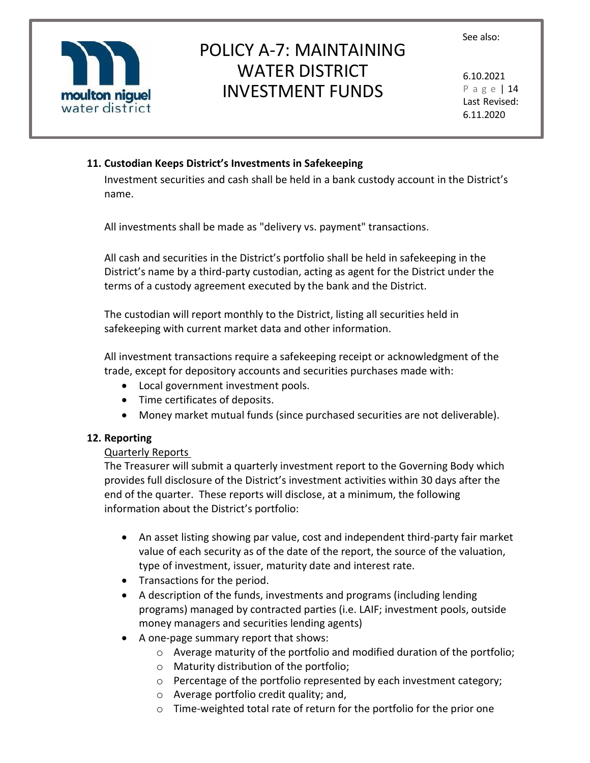

# POLICY A-7: MAINTAINING WATER DISTRICT INVESTMENT FUNDS

6.10.2021 P a g e | 14 Last Revised: 6.11.2020

## **11. Custodian Keeps District's Investments in Safekeeping**

Investment securities and cash shall be held in a bank custody account in the District's name.

All investments shall be made as "delivery vs. payment" transactions.

All cash and securities in the District's portfolio shall be held in safekeeping in the District's name by a third-party custodian, acting as agent for the District under the terms of a custody agreement executed by the bank and the District.

The custodian will report monthly to the District, listing all securities held in safekeeping with current market data and other information.

All investment transactions require a safekeeping receipt or acknowledgment of the trade, except for depository accounts and securities purchases made with:

- Local government investment pools.
- Time certificates of deposits.
- Money market mutual funds (since purchased securities are not deliverable).

### **12. Reporting**

## Quarterly Reports

The Treasurer will submit a quarterly investment report to the Governing Body which provides full disclosure of the District's investment activities within 30 days after the end of the quarter. These reports will disclose, at a minimum, the following information about the District's portfolio:

- An asset listing showing par value, cost and independent third-party fair market value of each security as of the date of the report, the source of the valuation, type of investment, issuer, maturity date and interest rate.
- Transactions for the period.
- A description of the funds, investments and programs (including lending programs) managed by contracted parties (i.e. LAIF; investment pools, outside money managers and securities lending agents)
- A one-page summary report that shows:
	- o Average maturity of the portfolio and modified duration of the portfolio;
	- o Maturity distribution of the portfolio;
	- o Percentage of the portfolio represented by each investment category;
	- o Average portfolio credit quality; and,
	- o Time-weighted total rate of return for the portfolio for the prior one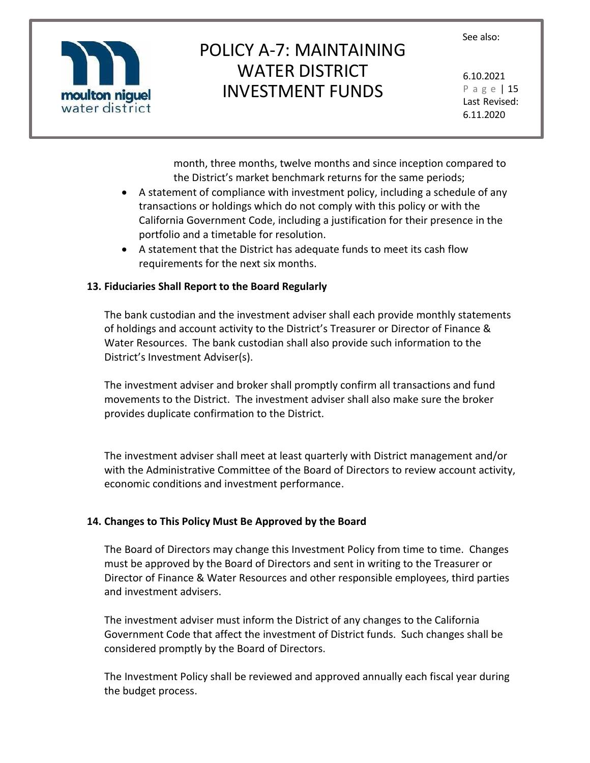

# POLICY A-7: MAINTAINING WATER DISTRICT INVESTMENT FUNDS

6.10.2021 P a g e | 15 Last Revised: 6.11.2020

month, three months, twelve months and since inception compared to the District's market benchmark returns for the same periods;

- A statement of compliance with investment policy, including a schedule of any transactions or holdings which do not comply with this policy or with the California Government Code, including a justification for their presence in the portfolio and a timetable for resolution.
- A statement that the District has adequate funds to meet its cash flow requirements for the next six months.

#### **13. Fiduciaries Shall Report to the Board Regularly**

The bank custodian and the investment adviser shall each provide monthly statements of holdings and account activity to the District's Treasurer or Director of Finance & Water Resources. The bank custodian shall also provide such information to the District's Investment Adviser(s).

The investment adviser and broker shall promptly confirm all transactions and fund movements to the District. The investment adviser shall also make sure the broker provides duplicate confirmation to the District.

The investment adviser shall meet at least quarterly with District management and/or with the Administrative Committee of the Board of Directors to review account activity, economic conditions and investment performance.

### **14. Changes to This Policy Must Be Approved by the Board**

The Board of Directors may change this Investment Policy from time to time. Changes must be approved by the Board of Directors and sent in writing to the Treasurer or Director of Finance & Water Resources and other responsible employees, third parties and investment advisers.

The investment adviser must inform the District of any changes to the California Government Code that affect the investment of District funds. Such changes shall be considered promptly by the Board of Directors.

The Investment Policy shall be reviewed and approved annually each fiscal year during the budget process.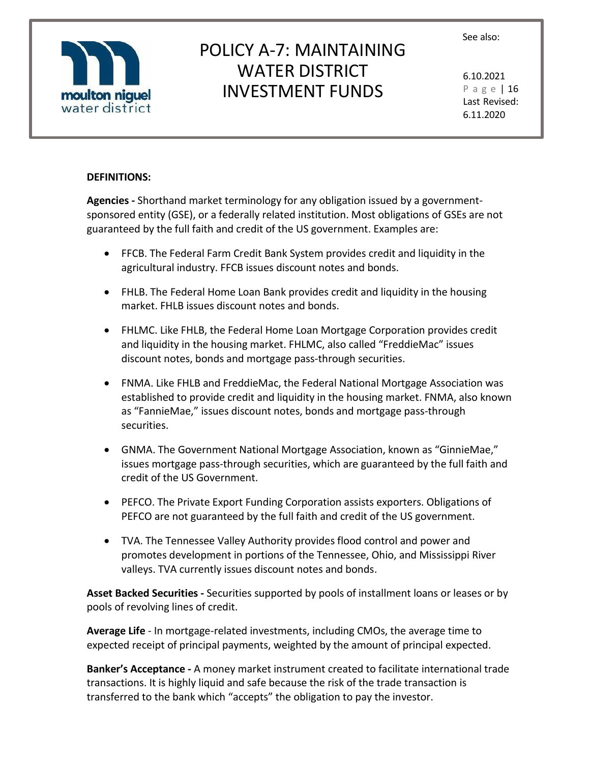

# POLICY A-7: MAINTAINING WATER DISTRICT INVESTMENT FUNDS

6.10.2021 P a g e | 16 Last Revised: 6.11.2020

#### **DEFINITIONS:**

**Agencies -** Shorthand market terminology for any obligation issued by a governmentsponsored entity (GSE), or a federally related institution. Most obligations of GSEs are not guaranteed by the full faith and credit of the US government. Examples are:

- FFCB. The Federal Farm Credit Bank System provides credit and liquidity in the agricultural industry. FFCB issues discount notes and bonds.
- FHLB. The Federal Home Loan Bank provides credit and liquidity in the housing market. FHLB issues discount notes and bonds.
- FHLMC. Like FHLB, the Federal Home Loan Mortgage Corporation provides credit and liquidity in the housing market. FHLMC, also called "FreddieMac" issues discount notes, bonds and mortgage pass-through securities.
- FNMA. Like FHLB and FreddieMac, the Federal National Mortgage Association was established to provide credit and liquidity in the housing market. FNMA, also known as "FannieMae," issues discount notes, bonds and mortgage pass-through securities.
- GNMA. The Government National Mortgage Association, known as "GinnieMae," issues mortgage pass-through securities, which are guaranteed by the full faith and credit of the US Government.
- PEFCO. The Private Export Funding Corporation assists exporters. Obligations of PEFCO are not guaranteed by the full faith and credit of the US government.
- TVA. The Tennessee Valley Authority provides flood control and power and promotes development in portions of the Tennessee, Ohio, and Mississippi River valleys. TVA currently issues discount notes and bonds.

**Asset Backed Securities -** Securities supported by pools of installment loans or leases or by pools of revolving lines of credit.

**Average Life** - In mortgage-related investments, including CMOs, the average time to expected receipt of principal payments, weighted by the amount of principal expected.

**Banker's Acceptance -** A money market instrument created to facilitate international trade transactions. It is highly liquid and safe because the risk of the trade transaction is transferred to the bank which "accepts" the obligation to pay the investor.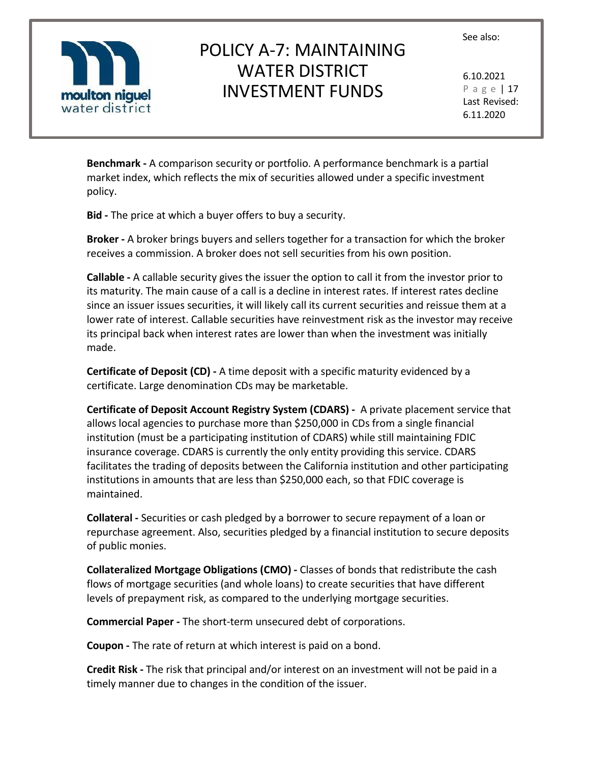

# POLICY A-7: MAINTAINING WATER DISTRICT INVESTMENT FUNDS

6.10.2021 P a g e | 17 Last Revised: 6.11.2020

**Benchmark -** A comparison security or portfolio. A performance benchmark is a partial market index, which reflects the mix of securities allowed under a specific investment policy.

**Bid -** The price at which a buyer offers to buy a security.

**Broker -** A broker brings buyers and sellers together for a transaction for which the broker receives a commission. A broker does not sell securities from his own position.

**Callable -** A callable security gives the issuer the option to call it from the investor prior to its maturity. The main cause of a call is a decline in interest rates. If interest rates decline since an issuer issues securities, it will likely call its current securities and reissue them at a lower rate of interest. Callable securities have reinvestment risk as the investor may receive its principal back when interest rates are lower than when the investment was initially made.

**Certificate of Deposit (CD) -** A time deposit with a specific maturity evidenced by a certificate. Large denomination CDs may be marketable.

**Certificate of Deposit Account Registry System (CDARS) -** A private placement service that allows local agencies to purchase more than \$250,000 in CDs from a single financial institution (must be a participating institution of CDARS) while still maintaining FDIC insurance coverage. CDARS is currently the only entity providing this service. CDARS facilitates the trading of deposits between the California institution and other participating institutions in amounts that are less than \$250,000 each, so that FDIC coverage is maintained.

**Collateral -** Securities or cash pledged by a borrower to secure repayment of a loan or repurchase agreement. Also, securities pledged by a financial institution to secure deposits of public monies.

**Collateralized Mortgage Obligations (CMO) -** Classes of bonds that redistribute the cash flows of mortgage securities (and whole loans) to create securities that have different levels of prepayment risk, as compared to the underlying mortgage securities.

**Commercial Paper -** The short-term unsecured debt of corporations.

**Coupon -** The rate of return at which interest is paid on a bond.

**Credit Risk -** The risk that principal and/or interest on an investment will not be paid in a timely manner due to changes in the condition of the issuer.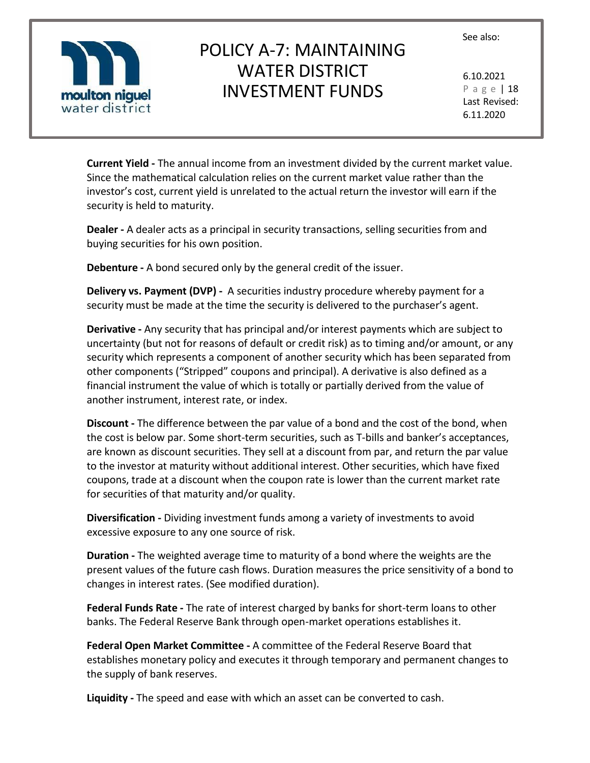

# POLICY A-7: MAINTAINING WATER DISTRICT INVESTMENT FUNDS

6.10.2021 P a g e | 18 Last Revised: 6.11.2020

**Current Yield -** The annual income from an investment divided by the current market value. Since the mathematical calculation relies on the current market value rather than the investor's cost, current yield is unrelated to the actual return the investor will earn if the security is held to maturity.

**Dealer -** A dealer acts as a principal in security transactions, selling securities from and buying securities for his own position.

**Debenture -** A bond secured only by the general credit of the issuer.

**Delivery vs. Payment (DVP) -** A securities industry procedure whereby payment for a security must be made at the time the security is delivered to the purchaser's agent.

**Derivative -** Any security that has principal and/or interest payments which are subject to uncertainty (but not for reasons of default or credit risk) as to timing and/or amount, or any security which represents a component of another security which has been separated from other components ("Stripped" coupons and principal). A derivative is also defined as a financial instrument the value of which is totally or partially derived from the value of another instrument, interest rate, or index.

**Discount -** The difference between the par value of a bond and the cost of the bond, when the cost is below par. Some short-term securities, such as T-bills and banker's acceptances, are known as discount securities. They sell at a discount from par, and return the par value to the investor at maturity without additional interest. Other securities, which have fixed coupons, trade at a discount when the coupon rate is lower than the current market rate for securities of that maturity and/or quality.

**Diversification -** Dividing investment funds among a variety of investments to avoid excessive exposure to any one source of risk.

**Duration -** The weighted average time to maturity of a bond where the weights are the present values of the future cash flows. Duration measures the price sensitivity of a bond to changes in interest rates. (See modified duration).

**Federal Funds Rate -** The rate of interest charged by banks for short-term loans to other banks. The Federal Reserve Bank through open-market operations establishes it.

**Federal Open Market Committee -** A committee of the Federal Reserve Board that establishes monetary policy and executes it through temporary and permanent changes to the supply of bank reserves.

**Liquidity -** The speed and ease with which an asset can be converted to cash.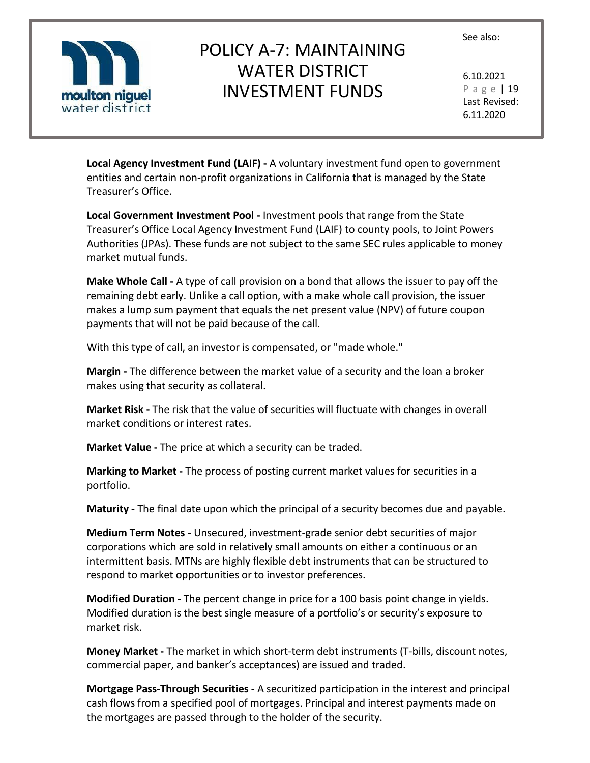

# POLICY A-7: MAINTAINING WATER DISTRICT INVESTMENT FUNDS

6.10.2021 P a g e | 19 Last Revised: 6.11.2020

**Local Agency Investment Fund (LAIF) -** A voluntary investment fund open to government entities and certain non-profit organizations in California that is managed by the State Treasurer's Office.

**Local Government Investment Pool -** Investment pools that range from the State Treasurer's Office Local Agency Investment Fund (LAIF) to county pools, to Joint Powers Authorities (JPAs). These funds are not subject to the same SEC rules applicable to money market mutual funds.

**Make Whole Call -** A type of call provision on a bond that allows the issuer to pay off the remaining debt early. Unlike a call option, with a make whole call provision, the issuer makes a lump sum payment that equals the net present value (NPV) of future coupon payments that will not be paid because of the call.

With this type of call, an investor is compensated, or "made whole."

**Margin -** The difference between the market value of a security and the loan a broker makes using that security as collateral.

**Market Risk -** The risk that the value of securities will fluctuate with changes in overall market conditions or interest rates.

**Market Value -** The price at which a security can be traded.

**Marking to Market -** The process of posting current market values for securities in a portfolio.

**Maturity -** The final date upon which the principal of a security becomes due and payable.

**Medium Term Notes -** Unsecured, investment-grade senior debt securities of major corporations which are sold in relatively small amounts on either a continuous or an intermittent basis. MTNs are highly flexible debt instruments that can be structured to respond to market opportunities or to investor preferences.

**Modified Duration -** The percent change in price for a 100 basis point change in yields. Modified duration is the best single measure of a portfolio's or security's exposure to market risk.

**Money Market -** The market in which short-term debt instruments (T-bills, discount notes, commercial paper, and banker's acceptances) are issued and traded.

**Mortgage Pass-Through Securities -** A securitized participation in the interest and principal cash flows from a specified pool of mortgages. Principal and interest payments made on the mortgages are passed through to the holder of the security.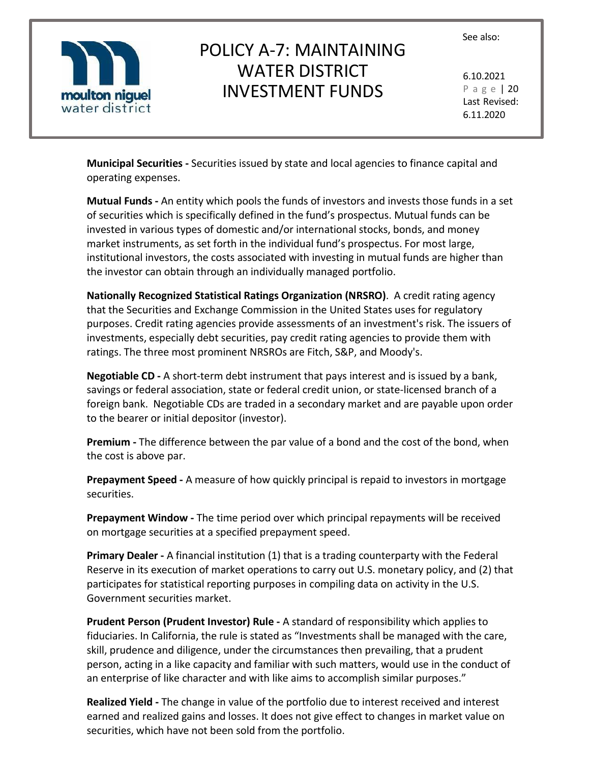

# POLICY A-7: MAINTAINING WATER DISTRICT INVESTMENT FUNDS

6.10.2021 P a g e | 20 Last Revised: 6.11.2020

**Municipal Securities -** Securities issued by state and local agencies to finance capital and operating expenses.

**Mutual Funds -** An entity which pools the funds of investors and invests those funds in a set of securities which is specifically defined in the fund's prospectus. Mutual funds can be invested in various types of domestic and/or international stocks, bonds, and money market instruments, as set forth in the individual fund's prospectus. For most large, institutional investors, the costs associated with investing in mutual funds are higher than the investor can obtain through an individually managed portfolio.

**Nationally Recognized Statistical Ratings Organization (NRSRO)**. A credit rating agency that the Securities and Exchange Commission in the United States uses for regulatory purposes. Credit rating agencies provide assessments of an investment's risk. The issuers of investments, especially debt securities, pay credit rating agencies to provide them with ratings. The three most prominent NRSROs are Fitch, S&P, and Moody's.

**Negotiable CD -** A short-term debt instrument that pays interest and is issued by a bank, savings or federal association, state or federal credit union, or state-licensed branch of a foreign bank. Negotiable CDs are traded in a secondary market and are payable upon order to the bearer or initial depositor (investor).

**Premium -** The difference between the par value of a bond and the cost of the bond, when the cost is above par.

**Prepayment Speed -** A measure of how quickly principal is repaid to investors in mortgage securities.

**Prepayment Window -** The time period over which principal repayments will be received on mortgage securities at a specified prepayment speed.

**Primary Dealer -** A financial institution (1) that is a trading counterparty with the Federal Reserve in its execution of market operations to carry out U.S. monetary policy, and (2) that participates for statistical reporting purposes in compiling data on activity in the U.S. Government securities market.

**Prudent Person (Prudent Investor) Rule -** A standard of responsibility which applies to fiduciaries. In California, the rule is stated as "Investments shall be managed with the care, skill, prudence and diligence, under the circumstances then prevailing, that a prudent person, acting in a like capacity and familiar with such matters, would use in the conduct of an enterprise of like character and with like aims to accomplish similar purposes."

**Realized Yield -** The change in value of the portfolio due to interest received and interest earned and realized gains and losses. It does not give effect to changes in market value on securities, which have not been sold from the portfolio.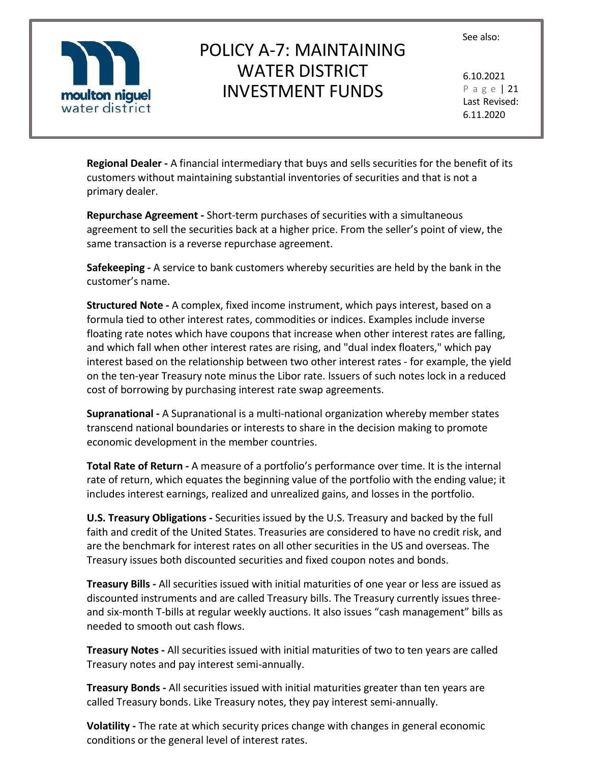

# POLICY A-7: MAINTAINING WATER DISTRICT INVESTMENT FUNDS

6.10.2021 P a g e | 21 Last Revised: 6.11.2020

**Regional Dealer -** A financial intermediary that buys and sells securities for the benefit of its customers without maintaining substantial inventories of securities and that is not a primary dealer.

**Repurchase Agreement -** Short-term purchases of securities with a simultaneous agreement to sell the securities back at a higher price. From the seller's point of view, the same transaction is a reverse repurchase agreement.

**Safekeeping -** A service to bank customers whereby securities are held by the bank in the customer's name.

**Structured Note -** A complex, fixed income instrument, which pays interest, based on a formula tied to other interest rates, commodities or indices. Examples include inverse floating rate notes which have coupons that increase when other interest rates are falling, and which fall when other interest rates are rising, and "dual index floaters," which pay interest based on the relationship between two other interest rates - for example, the yield on the ten-year Treasury note minus the Libor rate. Issuers of such notes lock in a reduced cost of borrowing by purchasing interest rate swap agreements.

**Supranational -** A Supranational is a multi-national organization whereby member states transcend national boundaries or interests to share in the decision making to promote economic development in the member countries.

**Total Rate of Return -** A measure of a portfolio's performance over time. It is the internal rate of return, which equates the beginning value of the portfolio with the ending value; it includes interest earnings, realized and unrealized gains, and losses in the portfolio.

**U.S. Treasury Obligations -** Securities issued by the U.S. Treasury and backed by the full faith and credit of the United States. Treasuries are considered to have no credit risk, and are the benchmark for interest rates on all other securities in the US and overseas. The Treasury issues both discounted securities and fixed coupon notes and bonds.

**Treasury Bills -** All securities issued with initial maturities of one year or less are issued as discounted instruments and are called Treasury bills. The Treasury currently issues threeand six-month T-bills at regular weekly auctions. It also issues "cash management" bills as needed to smooth out cash flows.

**Treasury Notes -** All securities issued with initial maturities of two to ten years are called Treasury notes and pay interest semi-annually.

**Treasury Bonds -** All securities issued with initial maturities greater than ten years are called Treasury bonds. Like Treasury notes, they pay interest semi-annually.

**Volatility -** The rate at which security prices change with changes in general economic conditions or the general level of interest rates.